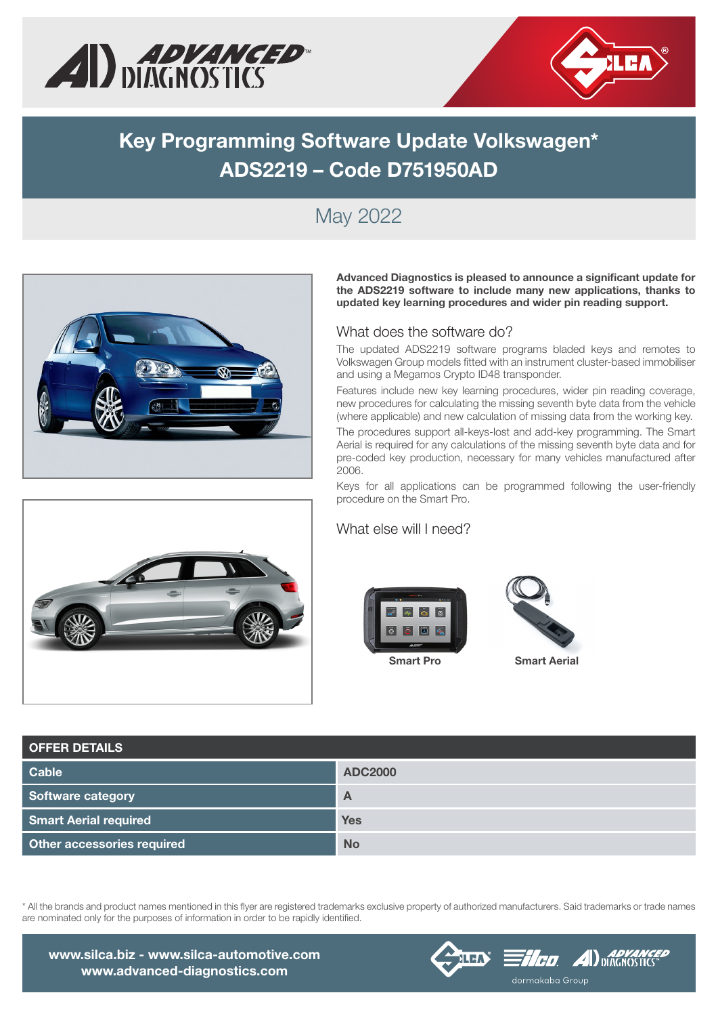



# Key Programming Software Update Volkswagen\* ADS2219 – Code D751950AD

## May 2022



Advanced Diagnostics is pleased to announce a significant update for the ADS2219 software to include many new applications, thanks to updated key learning procedures and wider pin reading support.

#### What does the software do?

The updated ADS2219 software programs bladed keys and remotes to Volkswagen Group models fitted with an instrument cluster-based immobiliser and using a Megamos Crypto ID48 transponder.

Features include new key learning procedures, wider pin reading coverage, new procedures for calculating the missing seventh byte data from the vehicle (where applicable) and new calculation of missing data from the working key.

The procedures support all-keys-lost and add-key programming. The Smart Aerial is required for any calculations of the missing seventh byte data and for pre-coded key production, necessary for many vehicles manufactured after 2006.

Keys for all applications can be programmed following the user-friendly procedure on the Smart Pro.

#### What else will I need?





Smart Pro Smart Aerial

| <b>OFFER DETAILS</b>         |                |  |  |  |  |  |
|------------------------------|----------------|--|--|--|--|--|
| <b>Cable</b>                 | <b>ADC2000</b> |  |  |  |  |  |
| Software category            | $\overline{A}$ |  |  |  |  |  |
| <b>Smart Aerial required</b> | <b>Yes</b>     |  |  |  |  |  |
| Other accessories required   | <b>No</b>      |  |  |  |  |  |

\* All the brands and product names mentioned in this flyer are registered trademarks exclusive property of authorized manufacturers. Said trademarks or trade names are nominated only for the purposes of information in order to be rapidly identified.



www.silca.biz - www.silca-automotive.com www.advanced-diagnostics.com